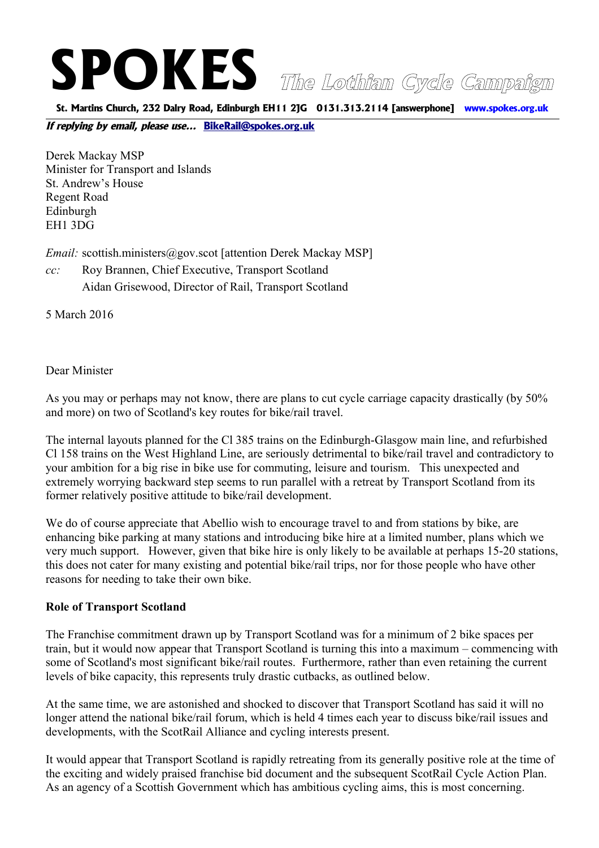# **SPOKES The Lothian Cycle Campaign**

**St. Martins Church, 232 Dalry Road, Edinburgh EH11 2JG 0131.313.2114 [answerphone] www.spokes.org.uk**

**If replying by email, please use... [BikeRail@spokes.org.uk](mailto:BikeRail@spokes.org.uk)** 

Derek Mackay MSP Minister for Transport and Islands St. Andrew's House Regent Road Edinburgh EH1 3DG

*Email:* scottish.ministers@gov.scot [attention Derek Mackay MSP]

*cc:* Roy Brannen, Chief Executive, Transport Scotland Aidan Grisewood, Director of Rail, Transport Scotland

5 March 2016

Dear Minister

As you may or perhaps may not know, there are plans to cut cycle carriage capacity drastically (by 50% and more) on two of Scotland's key routes for bike/rail travel.

The internal layouts planned for the Cl 385 trains on the Edinburgh-Glasgow main line, and refurbished Cl 158 trains on the West Highland Line, are seriously detrimental to bike/rail travel and contradictory to your ambition for a big rise in bike use for commuting, leisure and tourism. This unexpected and extremely worrying backward step seems to run parallel with a retreat by Transport Scotland from its former relatively positive attitude to bike/rail development.

We do of course appreciate that Abellio wish to encourage travel to and from stations by bike, are enhancing bike parking at many stations and introducing bike hire at a limited number, plans which we very much support. However, given that bike hire is only likely to be available at perhaps 15-20 stations, this does not cater for many existing and potential bike/rail trips, nor for those people who have other reasons for needing to take their own bike.

### **Role of Transport Scotland**

The Franchise commitment drawn up by Transport Scotland was for a minimum of 2 bike spaces per train, but it would now appear that Transport Scotland is turning this into a maximum – commencing with some of Scotland's most significant bike/rail routes. Furthermore, rather than even retaining the current levels of bike capacity, this represents truly drastic cutbacks, as outlined below.

At the same time, we are astonished and shocked to discover that Transport Scotland has said it will no longer attend the national bike/rail forum, which is held 4 times each year to discuss bike/rail issues and developments, with the ScotRail Alliance and cycling interests present.

It would appear that Transport Scotland is rapidly retreating from its generally positive role at the time of the exciting and widely praised franchise bid document and the subsequent ScotRail Cycle Action Plan. As an agency of a Scottish Government which has ambitious cycling aims, this is most concerning.